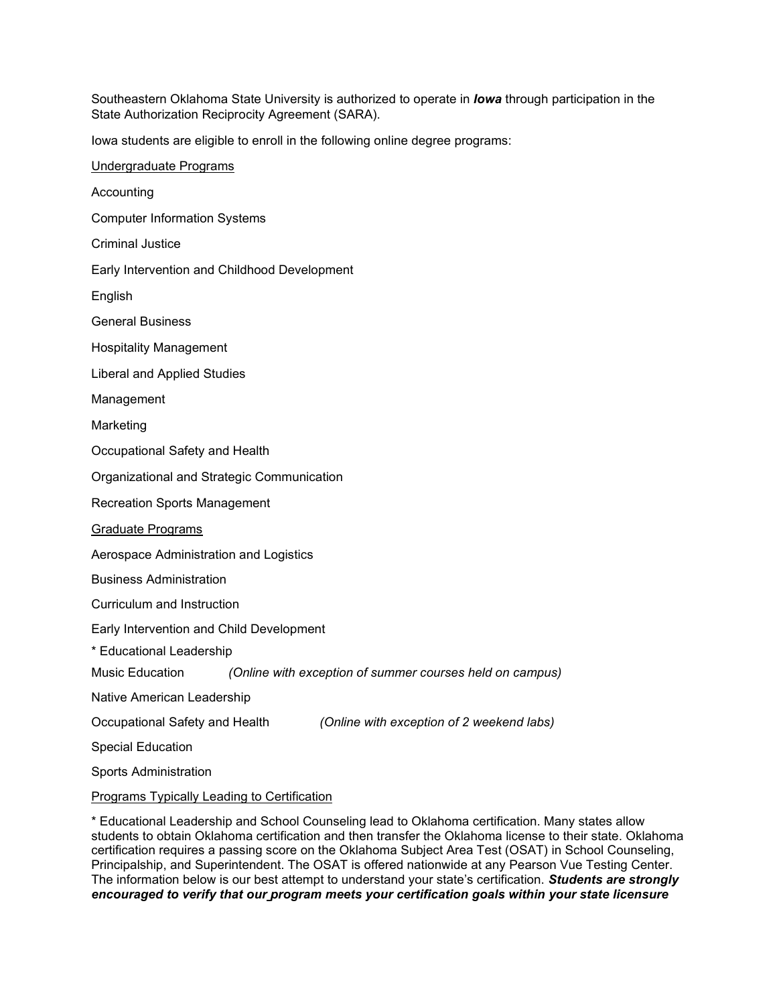Southeastern Oklahoma State University is authorized to operate in *Iowa* through participation in the State Authorization Reciprocity Agreement (SARA).

Iowa students are eligible to enroll in the following online degree programs:

Undergraduate Programs Accounting Computer Information Systems Criminal Justice Early Intervention and Childhood Development English General Business Hospitality Management Liberal and Applied Studies Management Marketing Occupational Safety and Health Organizational and Strategic Communication Recreation Sports Management Graduate Programs Aerospace Administration and Logistics Business Administration Curriculum and Instruction Early Intervention and Child Development \* Educational Leadership Music Education *(Online with exception of summer courses held on campus)* Native American Leadership Occupational Safety and Health *(Online with exception of 2 weekend labs)* Special Education Sports Administration Programs Typically Leading to Certification

\* Educational Leadership and School Counseling lead to Oklahoma certification. Many states allow students to obtain Oklahoma certification and then transfer the Oklahoma license to their state. Oklahoma certification requires a passing score on the Oklahoma Subject Area Test (OSAT) in School Counseling, Principalship, and Superintendent. The OSAT is offered nationwide at any Pearson Vue Testing Center. The information below is our best attempt to understand your state's certification. *Students are strongly encouraged to verify that our program meets your certification goals within your state licensure*